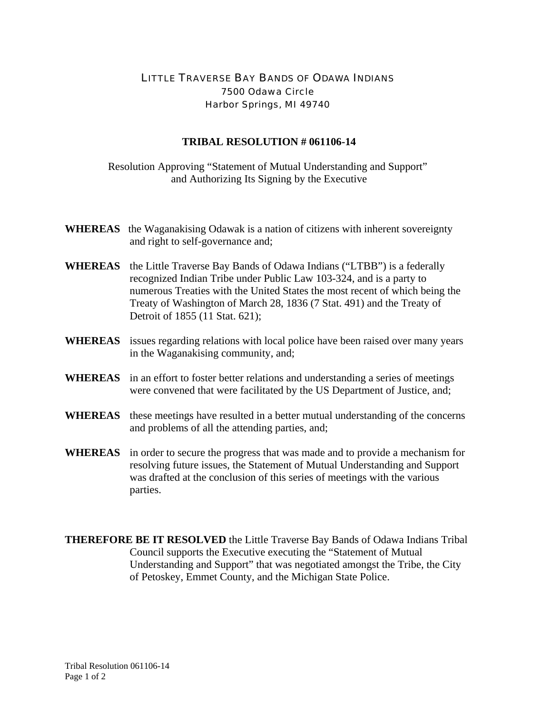## LITTLE TRAVERSE BAY BANDS OF ODAWA INDIANS 7500 Odawa Circle Harbor Springs, MI 49740

## **TRIBAL RESOLUTION # 061106-14**

Resolution Approving "Statement of Mutual Understanding and Support" and Authorizing Its Signing by the Executive

- **WHEREAS** the Waganakising Odawak is a nation of citizens with inherent sovereignty and right to self-governance and;
- **WHEREAS** the Little Traverse Bay Bands of Odawa Indians ("LTBB") is a federally recognized Indian Tribe under Public Law 103-324, and is a party to numerous Treaties with the United States the most recent of which being the Treaty of Washington of March 28, 1836 (7 Stat. 491) and the Treaty of Detroit of 1855 (11 Stat. 621);
- **WHEREAS** issues regarding relations with local police have been raised over many years in the Waganakising community, and;
- **WHEREAS** in an effort to foster better relations and understanding a series of meetings were convened that were facilitated by the US Department of Justice, and;
- **WHEREAS** these meetings have resulted in a better mutual understanding of the concerns and problems of all the attending parties, and;
- **WHEREAS** in order to secure the progress that was made and to provide a mechanism for resolving future issues, the Statement of Mutual Understanding and Support was drafted at the conclusion of this series of meetings with the various parties.
- **THEREFORE BE IT RESOLVED** the Little Traverse Bay Bands of Odawa Indians Tribal Council supports the Executive executing the "Statement of Mutual Understanding and Support" that was negotiated amongst the Tribe, the City of Petoskey, Emmet County, and the Michigan State Police.